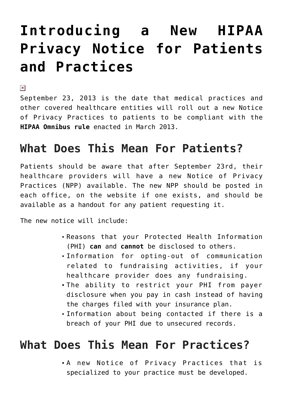# **[Introducing a New HIPAA](https://managemypractice.com/introducing-a-new-hipaa-privacy-notice-for-patients-and-practices/) [Privacy Notice for Patients](https://managemypractice.com/introducing-a-new-hipaa-privacy-notice-for-patients-and-practices/) [and Practices](https://managemypractice.com/introducing-a-new-hipaa-privacy-notice-for-patients-and-practices/)**

 $\pmb{\times}$ 

September 23, 2013 is the date that medical practices and other covered healthcare entities will roll out a new Notice of Privacy Practices to patients to be compliant with the **[HIPAA Omnibus rule](http://ow.ly/hdU3U,)** enacted in March 2013.

### **What Does This Mean For Patients?**

Patients should be aware that after September 23rd, their healthcare providers will have a new Notice of Privacy Practices (NPP) available. The new NPP should be posted in each office, on the website if one exists, and should be available as a handout for any patient requesting it.

The new notice will include:

- Reasons that your Protected Health Information (PHI) **can** and **cannot** be disclosed to others.
- Information for opting-out of communication related to fundraising activities, if your healthcare provider does any fundraising.
- The ability to restrict your PHI from payer disclosure when you pay in cash instead of having the charges filed with your insurance plan.
- Information about being contacted if there is a breach of your PHI due to unsecured records.

### **What Does This Mean For Practices?**

A new Notice of Privacy Practices that is specialized to your practice must be developed.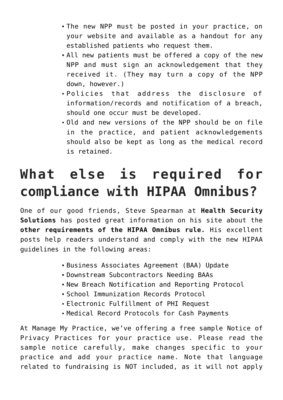- The new NPP must be posted in your practice, on your website and available as a handout for any established patients who request them.
- All new patients must be offered a copy of the new NPP and must sign an acknowledgement that they received it. (They may turn a copy of the NPP down, however.)
- Policies that address the disclosure of information/records and notification of a breach, should one occur must be developed.
- Old and new versions of the NPP should be on file in the practice, and patient acknowledgements should also be kept as long as the medical record is retained.

## **What else is required for compliance with HIPAA Omnibus?**

One of our good friends, Steve Spearman at **[Health Security](http://www.healthsecuritysolutions.com/) [Solutions](http://www.healthsecuritysolutions.com/)** has posted great information on his site about the **[other requirements of the HIPAA Omnibus rule.](http://www.healthsecuritysolutions.com/2013/08/are-you-ready-hipaa-omnibus-compliance-date-is-september-23rd-8-questions-to-ask/)** His excellent posts help readers understand and comply with the new HIPAA guidelines in the following areas:

- Business Associates Agreement (BAA) Update
- Downstream Subcontractors Needing BAAs
- New Breach Notification and Reporting Protocol
- School Immunization Records Protocol
- Electronic Fulfillment of PHI Request
- Medical Record Protocols for Cash Payments

At Manage My Practice, we've offering a free sample Notice of Privacy Practices for your practice use. Please read the sample notice carefully, make changes specific to your practice and add your practice name. Note that language related to fundraising is NOT included, as it will not apply